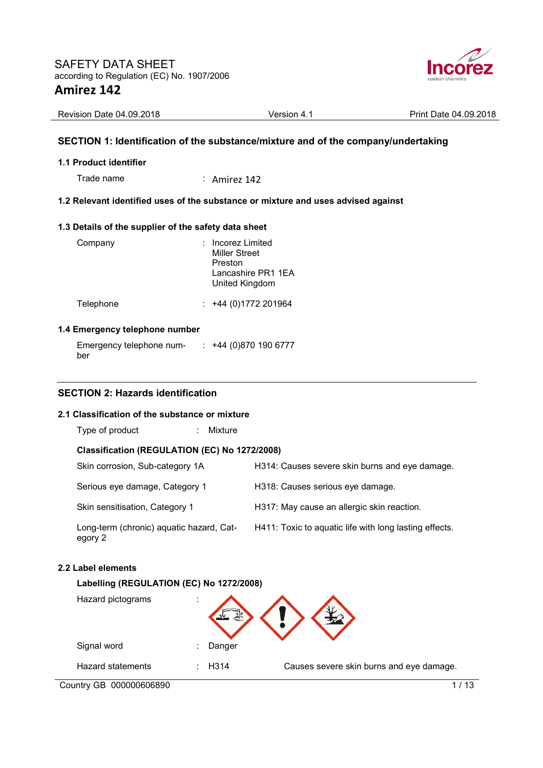

| Revision Date 04.09.2018 | <b>Version 4.1</b> | Print Date 04.09.2018 |
|--------------------------|--------------------|-----------------------|

## **SECTION 1: Identification of the substance/mixture and of the company/undertaking**

#### **1.1 Product identifier**

Trade name : Amirez 142

## **1.2 Relevant identified uses of the substance or mixture and uses advised against**

## **1.3 Details of the supplier of the safety data sheet**

| Company   | : Incorez Limited<br><b>Miller Street</b><br>Preston<br>Lancashire PR1 1EA<br>United Kingdom |
|-----------|----------------------------------------------------------------------------------------------|
| Telephone | $: +44(0)1772201964$                                                                         |

#### **1.4 Emergency telephone number**

| Emergency telephone num- | $\div$ +44 (0)870 190 6777 |
|--------------------------|----------------------------|
| ber                      |                            |

## **SECTION 2: Hazards identification**

## **2.1 Classification of the substance or mixture**

Type of product : Mixture

## **Classification (REGULATION (EC) No 1272/2008)**

| Skin corrosion, Sub-category 1A                     | H314: Causes severe skin burns and eye damage.         |
|-----------------------------------------------------|--------------------------------------------------------|
| Serious eye damage, Category 1                      | H318: Causes serious eye damage.                       |
| Skin sensitisation, Category 1                      | H317: May cause an allergic skin reaction.             |
| Long-term (chronic) aquatic hazard, Cat-<br>egory 2 | H411: Toxic to aquatic life with long lasting effects. |

#### **2.2 Label elements**

#### **Labelling (REGULATION (EC) No 1272/2008)**

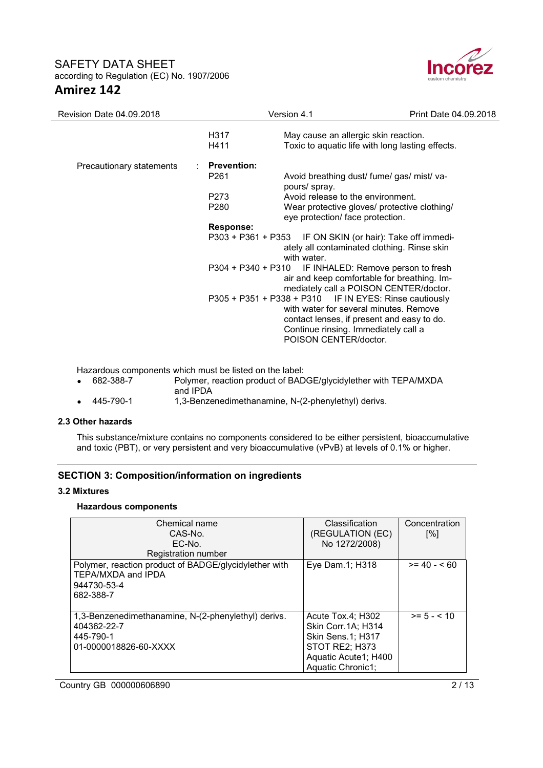

| Revision Date 04.09.2018 | Version 4.1      |                                                                                                                                                                                                                 | Print Date 04.09.2018 |
|--------------------------|------------------|-----------------------------------------------------------------------------------------------------------------------------------------------------------------------------------------------------------------|-----------------------|
|                          | H317<br>H411     | May cause an allergic skin reaction.<br>Toxic to aquatic life with long lasting effects.                                                                                                                        |                       |
| Precautionary statements | : Prevention:    |                                                                                                                                                                                                                 |                       |
|                          | P <sub>261</sub> | Avoid breathing dust/ fume/ gas/ mist/ va-<br>pours/ spray.                                                                                                                                                     |                       |
|                          | P273             | Avoid release to the environment.                                                                                                                                                                               |                       |
|                          | P280             | Wear protective gloves/ protective clothing/                                                                                                                                                                    |                       |
|                          |                  | eye protection/ face protection.                                                                                                                                                                                |                       |
|                          | Response:        |                                                                                                                                                                                                                 |                       |
|                          |                  | P303 + P361 + P353 IF ON SKIN (or hair): Take off immedi-<br>ately all contaminated clothing. Rinse skin<br>with water.                                                                                         |                       |
|                          |                  | P304 + P340 + P310 IF INHALED: Remove person to fresh<br>air and keep comfortable for breathing. Im-<br>mediately call a POISON CENTER/doctor.                                                                  |                       |
|                          |                  | P305 + P351 + P338 + P310 IF IN EYES: Rinse cautiously<br>with water for several minutes. Remove<br>contact lenses, if present and easy to do.<br>Continue rinsing. Immediately call a<br>POISON CENTER/doctor. |                       |

Hazardous components which must be listed on the label:<br>• 682-388-7 Polymer, reaction product of BAD

- 682-388-7 Polymer, reaction product of BADGE/glycidylether with TEPA/MXDA
	- and IPDA
- 445-790-1 1,3-Benzenedimethanamine, N-(2-phenylethyl) derivs.

#### **2.3 Other hazards**

This substance/mixture contains no components considered to be either persistent, bioaccumulative and toxic (PBT), or very persistent and very bioaccumulative (vPvB) at levels of 0.1% or higher.

# **SECTION 3: Composition/information on ingredients**

#### **3.2 Mixtures**

#### **Hazardous components**

| Chemical name<br>CAS-No.<br>$FC-No.$                                                                     | Classification<br>(REGULATION (EC)<br>No 1272/2008)                                                                                 | Concentration<br>[%] |
|----------------------------------------------------------------------------------------------------------|-------------------------------------------------------------------------------------------------------------------------------------|----------------------|
| Registration number                                                                                      |                                                                                                                                     |                      |
| Polymer, reaction product of BADGE/glycidylether with<br>TEPA/MXDA and IPDA<br>944730-53-4<br>682-388-7  | Eye Dam.1; H318                                                                                                                     | $>= 40 - 60$         |
| 1,3-Benzenedimethanamine, N-(2-phenylethyl) derivs.<br>404362-22-7<br>445-790-1<br>01-0000018826-60-XXXX | Acute Tox.4; H302<br>Skin Corr. 1A: H314<br><b>Skin Sens.1; H317</b><br>STOT RE2; H373<br>Aquatic Acute1; H400<br>Aquatic Chronic1; | $>= 5 - < 10$        |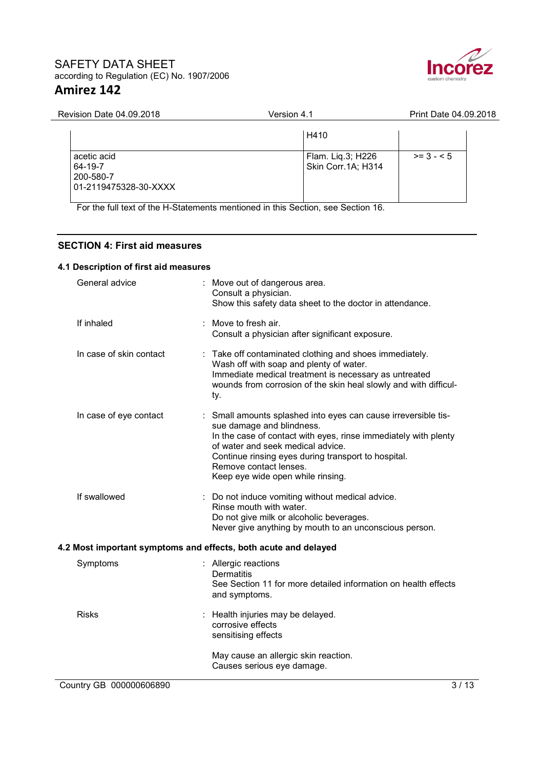

| <b>Revision Date 04.09.2018</b>                              | Version 4.1                             | Print Date 04.09.2018 |  |
|--------------------------------------------------------------|-----------------------------------------|-----------------------|--|
|                                                              | H410                                    |                       |  |
| acetic acid<br>64-19-7<br>200-580-7<br>01-2119475328-30-XXXX | Flam. Liq.3; H226<br>Skin Corr.1A; H314 | $>= 3 - 5$            |  |

For the full text of the H-Statements mentioned in this Section, see Section 16.

# **SECTION 4: First aid measures**

# **4.1 Description of first aid measures**

| General advice          | Move out of dangerous area.<br>Consult a physician.<br>Show this safety data sheet to the doctor in attendance.                                                                                                                                                                                                           |
|-------------------------|---------------------------------------------------------------------------------------------------------------------------------------------------------------------------------------------------------------------------------------------------------------------------------------------------------------------------|
| If inhaled              | : Move to fresh air.<br>Consult a physician after significant exposure.                                                                                                                                                                                                                                                   |
| In case of skin contact | Take off contaminated clothing and shoes immediately.<br>Wash off with soap and plenty of water.<br>Immediate medical treatment is necessary as untreated<br>wounds from corrosion of the skin heal slowly and with difficul-<br>ty.                                                                                      |
| In case of eye contact  | : Small amounts splashed into eyes can cause irreversible tis-<br>sue damage and blindness.<br>In the case of contact with eyes, rinse immediately with plenty<br>of water and seek medical advice.<br>Continue rinsing eyes during transport to hospital.<br>Remove contact lenses.<br>Keep eye wide open while rinsing. |
| If swallowed            | : Do not induce vomiting without medical advice.<br>Rinse mouth with water.<br>Do not give milk or alcoholic beverages.<br>Never give anything by mouth to an unconscious person.                                                                                                                                         |
|                         | 4.2 Most important symptoms and effects, both acute and delayed                                                                                                                                                                                                                                                           |
| Symptoms                | : Allergic reactions<br><b>Dermatitis</b><br>See Section 11 for more detailed information on health effects<br>and symptoms.                                                                                                                                                                                              |
| <b>Risks</b>            | Health injuries may be delayed.<br>corrosive effects<br>sensitising effects                                                                                                                                                                                                                                               |
|                         | May cause an allergic skin reaction.<br>Causes serious eye damage.                                                                                                                                                                                                                                                        |
| Country GB 000000606890 | 3/13                                                                                                                                                                                                                                                                                                                      |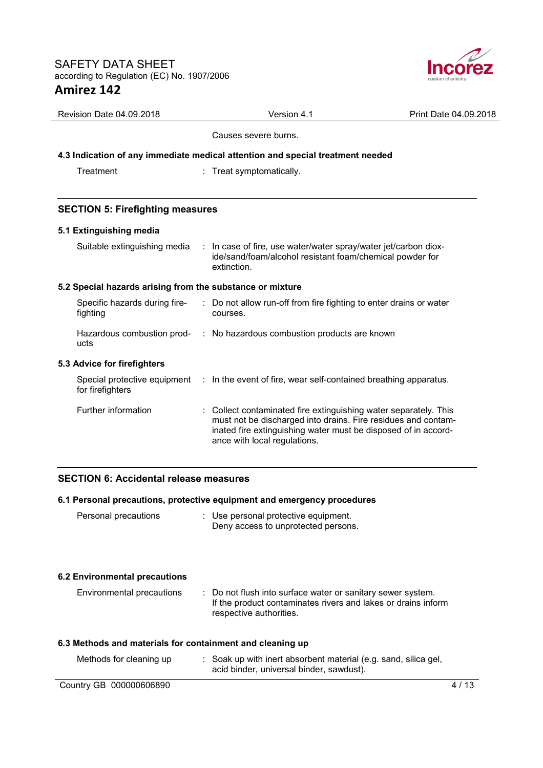

| Revision Date 04.09.2018                                                       | Version 4.1                                  | Print Date 04.09.2018                                                                                                                                                                               |  |
|--------------------------------------------------------------------------------|----------------------------------------------|-----------------------------------------------------------------------------------------------------------------------------------------------------------------------------------------------------|--|
|                                                                                | Causes severe burns.                         |                                                                                                                                                                                                     |  |
| 4.3 Indication of any immediate medical attention and special treatment needed |                                              |                                                                                                                                                                                                     |  |
| Treatment                                                                      | Treat symptomatically.                       |                                                                                                                                                                                                     |  |
|                                                                                |                                              |                                                                                                                                                                                                     |  |
| <b>SECTION 5: Firefighting measures</b>                                        |                                              |                                                                                                                                                                                                     |  |
| 5.1 Extinguishing media                                                        |                                              |                                                                                                                                                                                                     |  |
| Suitable extinguishing media                                                   | extinction.                                  | : In case of fire, use water/water spray/water jet/carbon diox-<br>ide/sand/foam/alcohol resistant foam/chemical powder for                                                                         |  |
| 5.2 Special hazards arising from the substance or mixture                      |                                              |                                                                                                                                                                                                     |  |
| Specific hazards during fire-<br>fighting                                      | courses.                                     | : Do not allow run-off from fire fighting to enter drains or water                                                                                                                                  |  |
| Hazardous combustion prod-<br>ucts                                             | : No hazardous combustion products are known |                                                                                                                                                                                                     |  |
| 5.3 Advice for firefighters                                                    |                                              |                                                                                                                                                                                                     |  |
| Special protective equipment<br>for firefighters                               |                                              | : In the event of fire, wear self-contained breathing apparatus.                                                                                                                                    |  |
| Further information                                                            | ance with local regulations.                 | : Collect contaminated fire extinguishing water separately. This<br>must not be discharged into drains. Fire residues and contam-<br>inated fire extinguishing water must be disposed of in accord- |  |

# **SECTION 6: Accidental release measures**

|                                                           | 6.1 Personal precautions, protective equipment and emergency procedures                                                                                 |        |
|-----------------------------------------------------------|---------------------------------------------------------------------------------------------------------------------------------------------------------|--------|
| Personal precautions                                      | : Use personal protective equipment.<br>Deny access to unprotected persons.                                                                             |        |
| <b>6.2 Environmental precautions</b>                      |                                                                                                                                                         |        |
| Environmental precautions                                 | : Do not flush into surface water or sanitary sewer system.<br>If the product contaminates rivers and lakes or drains inform<br>respective authorities. |        |
| 6.3 Methods and materials for containment and cleaning up |                                                                                                                                                         |        |
| Methods for cleaning up                                   | : Soak up with inert absorbent material (e.g. sand, silica gel,<br>acid binder, universal binder, sawdust).                                             |        |
| Country GB 000000606890                                   |                                                                                                                                                         | 4 / 13 |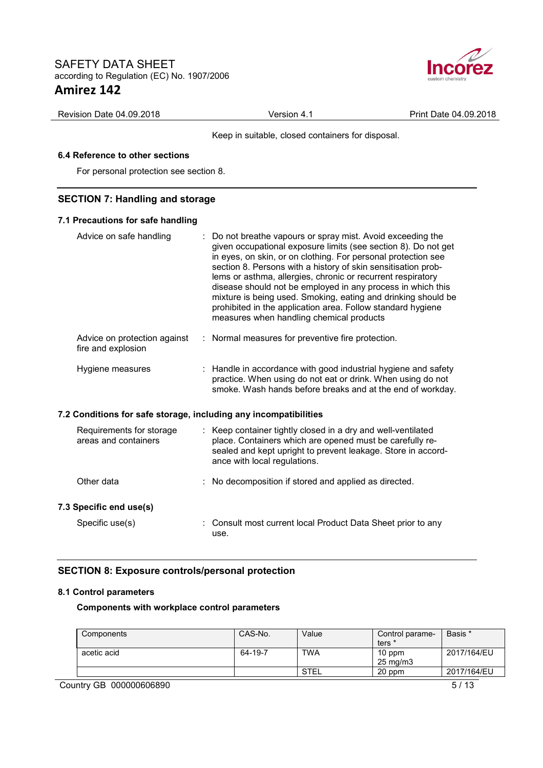

| Revision Date 04.09.2018 | Version<br>$\Delta$ | Print Date 04.09.2018 |
|--------------------------|---------------------|-----------------------|
|                          |                     |                       |

Keep in suitable, closed containers for disposal.

# **6.4 Reference to other sections**

For personal protection see section 8.

# **SECTION 7: Handling and storage**

## **7.1 Precautions for safe handling**

| Advice on safe handling                                          | : Do not breathe vapours or spray mist. Avoid exceeding the<br>given occupational exposure limits (see section 8). Do not get<br>in eyes, on skin, or on clothing. For personal protection see<br>section 8. Persons with a history of skin sensitisation prob-<br>lems or asthma, allergies, chronic or recurrent respiratory<br>disease should not be employed in any process in which this<br>mixture is being used. Smoking, eating and drinking should be<br>prohibited in the application area. Follow standard hygiene<br>measures when handling chemical products |
|------------------------------------------------------------------|---------------------------------------------------------------------------------------------------------------------------------------------------------------------------------------------------------------------------------------------------------------------------------------------------------------------------------------------------------------------------------------------------------------------------------------------------------------------------------------------------------------------------------------------------------------------------|
| Advice on protection against<br>fire and explosion               | : Normal measures for preventive fire protection.                                                                                                                                                                                                                                                                                                                                                                                                                                                                                                                         |
| Hygiene measures                                                 | : Handle in accordance with good industrial hygiene and safety<br>practice. When using do not eat or drink. When using do not<br>smoke. Wash hands before breaks and at the end of workday.                                                                                                                                                                                                                                                                                                                                                                               |
| 7.2 Conditions for safe storage, including any incompatibilities |                                                                                                                                                                                                                                                                                                                                                                                                                                                                                                                                                                           |
| Requirements for storage<br>areas and containers                 | : Keep container tightly closed in a dry and well-ventilated<br>place. Containers which are opened must be carefully re-<br>sealed and kept upright to prevent leakage. Store in accord-<br>ance with local regulations.                                                                                                                                                                                                                                                                                                                                                  |
| Other data                                                       | : No decomposition if stored and applied as directed.                                                                                                                                                                                                                                                                                                                                                                                                                                                                                                                     |
| 7.3 Specific end use(s)                                          |                                                                                                                                                                                                                                                                                                                                                                                                                                                                                                                                                                           |
| Specific use(s)                                                  | : Consult most current local Product Data Sheet prior to any<br>use.                                                                                                                                                                                                                                                                                                                                                                                                                                                                                                      |

# **SECTION 8: Exposure controls/personal protection**

#### **8.1 Control parameters**

**Components with workplace control parameters** 

| Components  | CAS-No. | Value      | Control parame-     | Basis *     |
|-------------|---------|------------|---------------------|-------------|
|             |         |            | ters *              |             |
| acetic acid | 64-19-7 | <b>TWA</b> | 10 ppm              | 2017/164/EU |
|             |         |            | $25 \text{ mg/m}$ 3 |             |
|             |         | STEL       | 20 ppm              | 2017/164/EU |

Country GB 000000606890 5/13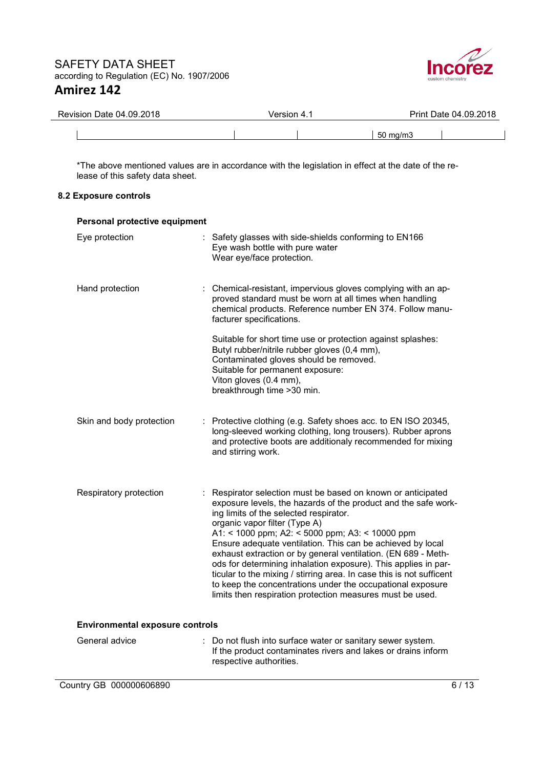

| Revision Date 04.09.2018 | Version 4.1 | Print Date 04.09.2018 |
|--------------------------|-------------|-----------------------|
|                          |             | $50 \text{ ma/m}$ 3   |

\*The above mentioned values are in accordance with the legislation in effect at the date of the release of this safety data sheet.

# **8.2 Exposure controls**

| Personal protective equipment          |                                                                                                                                                                                                                                                                                                                                                                                                                                                                                                                                                                                                                                                                  |
|----------------------------------------|------------------------------------------------------------------------------------------------------------------------------------------------------------------------------------------------------------------------------------------------------------------------------------------------------------------------------------------------------------------------------------------------------------------------------------------------------------------------------------------------------------------------------------------------------------------------------------------------------------------------------------------------------------------|
| Eye protection                         | : Safety glasses with side-shields conforming to EN166<br>Eye wash bottle with pure water<br>Wear eye/face protection.                                                                                                                                                                                                                                                                                                                                                                                                                                                                                                                                           |
| Hand protection                        | : Chemical-resistant, impervious gloves complying with an ap-<br>proved standard must be worn at all times when handling<br>chemical products. Reference number EN 374. Follow manu-<br>facturer specifications.                                                                                                                                                                                                                                                                                                                                                                                                                                                 |
|                                        | Suitable for short time use or protection against splashes:<br>Butyl rubber/nitrile rubber gloves (0,4 mm),<br>Contaminated gloves should be removed.<br>Suitable for permanent exposure:<br>Viton gloves (0.4 mm),<br>breakthrough time > 30 min.                                                                                                                                                                                                                                                                                                                                                                                                               |
| Skin and body protection               | : Protective clothing (e.g. Safety shoes acc. to EN ISO 20345,<br>long-sleeved working clothing, long trousers). Rubber aprons<br>and protective boots are additionaly recommended for mixing<br>and stirring work.                                                                                                                                                                                                                                                                                                                                                                                                                                              |
| Respiratory protection                 | : Respirator selection must be based on known or anticipated<br>exposure levels, the hazards of the product and the safe work-<br>ing limits of the selected respirator.<br>organic vapor filter (Type A)<br>A1: < 1000 ppm; A2: < 5000 ppm; A3: < 10000 ppm<br>Ensure adequate ventilation. This can be achieved by local<br>exhaust extraction or by general ventilation. (EN 689 - Meth-<br>ods for determining inhalation exposure). This applies in par-<br>ticular to the mixing / stirring area. In case this is not sufficent<br>to keep the concentrations under the occupational exposure<br>limits then respiration protection measures must be used. |
| <b>Environmental exposure controls</b> |                                                                                                                                                                                                                                                                                                                                                                                                                                                                                                                                                                                                                                                                  |
| General advice                         | : Do not flush into surface water or sanitary sewer system.<br>If the product contaminates rivers and lakes or drains inform<br>respective authorities.                                                                                                                                                                                                                                                                                                                                                                                                                                                                                                          |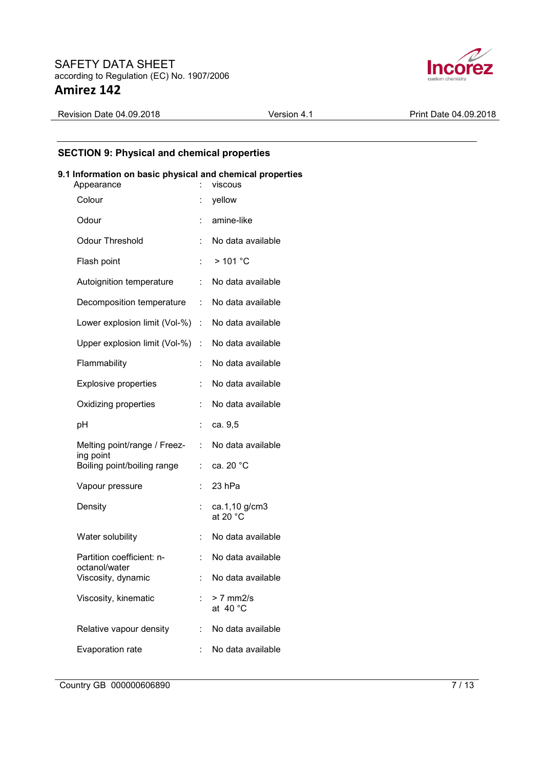

Revision Date 04.09.2018 <br>
Version 4.1 Print Date 04.09.2018

# **SECTION 9: Physical and chemical properties**

#### **9.1 Information on basic physical and chemical properties**

| Appearance                                 |    | viscous                             |
|--------------------------------------------|----|-------------------------------------|
| Colour                                     |    | yellow                              |
| Odour                                      |    | amine-like                          |
| <b>Odour Threshold</b>                     |    | No data available                   |
| Flash point                                |    | >101 °C                             |
| Autoignition temperature                   | t. | No data available                   |
| Decomposition temperature                  | ÷. | No data available                   |
| Lower explosion limit (Vol-%)              |    | : No data available                 |
| Upper explosion limit (Vol-%)              | t. | No data available                   |
| Flammability                               | t  | No data available                   |
| <b>Explosive properties</b>                | t  | No data available                   |
| Oxidizing properties                       | t  | No data available                   |
| pH                                         | t  | ca. 9,5                             |
| Melting point/range / Freez-               | t. | No data available                   |
| ing point<br>Boiling point/boiling range   | t. | ca. 20 °C                           |
| Vapour pressure                            | t  | 23 hPa                              |
| Density                                    |    | ca.1,10 g/cm3<br>at 20 $^{\circ}$ C |
| Water solubility                           | ÷. | No data available                   |
| Partition coefficient: n-<br>octanol/water | ÷. | No data available                   |
| Viscosity, dynamic                         |    | No data available                   |
| Viscosity, kinematic                       |    | $> 7$ mm2/s<br>at $40^{\circ}$ C    |
| Relative vapour density                    | t. | No data available                   |
| Evaporation rate                           |    | No data available                   |

Country GB 000000606890 7/13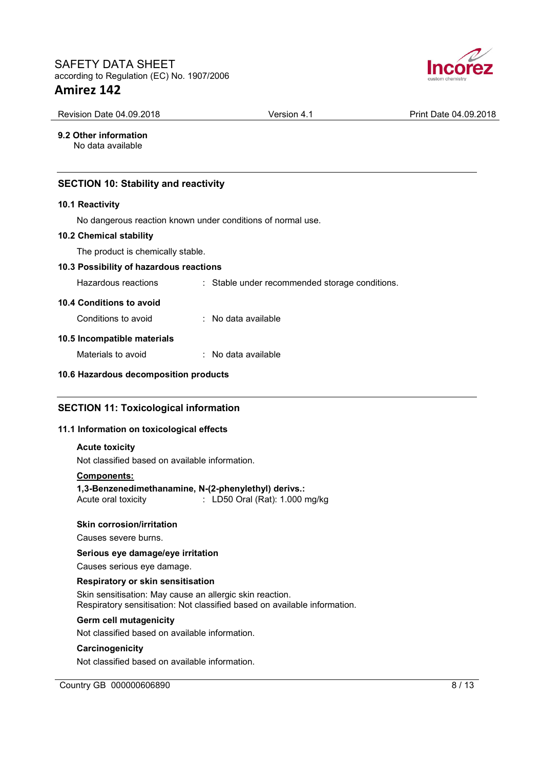

| Revision Date 04.09.2018                     | Version 4.1                                                 | Print Date 04.09.2018 |
|----------------------------------------------|-------------------------------------------------------------|-----------------------|
| 9.2 Other information<br>No data available   |                                                             |                       |
| <b>SECTION 10: Stability and reactivity</b>  |                                                             |                       |
| 10.1 Reactivity                              |                                                             |                       |
|                                              | No dangerous reaction known under conditions of normal use. |                       |
| <b>10.2 Chemical stability</b>               |                                                             |                       |
| The product is chemically stable.            |                                                             |                       |
| 10.3 Possibility of hazardous reactions      |                                                             |                       |
| Hazardous reactions                          | : Stable under recommended storage conditions.              |                       |
| 10.4 Conditions to avoid                     |                                                             |                       |
| Conditions to avoid                          | : No data available                                         |                       |
| 10.5 Incompatible materials                  |                                                             |                       |
| Materials to avoid                           | : No data available                                         |                       |
| 10.6 Hazardous decomposition products        |                                                             |                       |
| <b>SECTION 11: Toxicological information</b> |                                                             |                       |
| 11.1 Information on toxicological effects    |                                                             |                       |

# **Acute toxicity**

Not classified based on available information.

# **Components:**

**1,3-Benzenedimethanamine, N-(2-phenylethyl) derivs.:**   $\therefore$  LD50 Oral (Rat): 1.000 mg/kg

#### **Skin corrosion/irritation**

Causes severe burns.

#### **Serious eye damage/eye irritation**

Causes serious eye damage.

#### **Respiratory or skin sensitisation**

Skin sensitisation: May cause an allergic skin reaction. Respiratory sensitisation: Not classified based on available information.

#### **Germ cell mutagenicity**

Not classified based on available information.

#### **Carcinogenicity**

Not classified based on available information.

Country GB 000000606890 8/13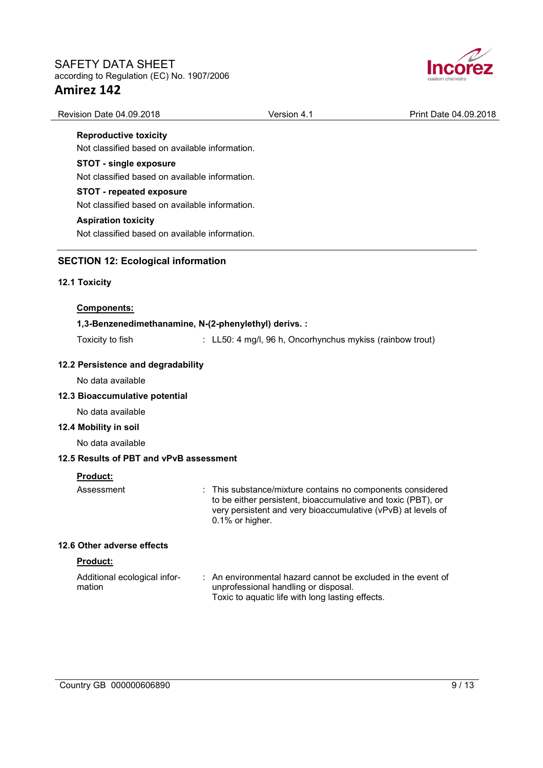

| Revision Date 04.09.2018 | Version 4.1 | Print Date 04.09.2018 |
|--------------------------|-------------|-----------------------|
|                          |             |                       |

**Reproductive toxicity**  Not classified based on available information.

# **STOT - single exposure**

Not classified based on available information.

# **STOT - repeated exposure**

Not classified based on available information.

# **Aspiration toxicity**

Not classified based on available information.

# **SECTION 12: Ecological information**

# **12.1 Toxicity**

### **Components:**

# **1,3-Benzenedimethanamine, N-(2-phenylethyl) derivs. :**

Toxicity to fish : LL50: 4 mg/l, 96 h, Oncorhynchus mykiss (rainbow trout)

# **12.2 Persistence and degradability**

No data available

## **12.3 Bioaccumulative potential**

No data available

#### **12.4 Mobility in soil**

No data available

## **12.5 Results of PBT and vPvB assessment**

# **Product:**

Assessment : This substance/mixture contains no components considered to be either persistent, bioaccumulative and toxic (PBT), or very persistent and very bioaccumulative (vPvB) at levels of 0.1% or higher.

#### **12.6 Other adverse effects**

# **Product:**

| Additional ecological infor- | : An environmental hazard cannot be excluded in the event of |
|------------------------------|--------------------------------------------------------------|
| mation                       | unprofessional handling or disposal.                         |
|                              | Toxic to aquatic life with long lasting effects.             |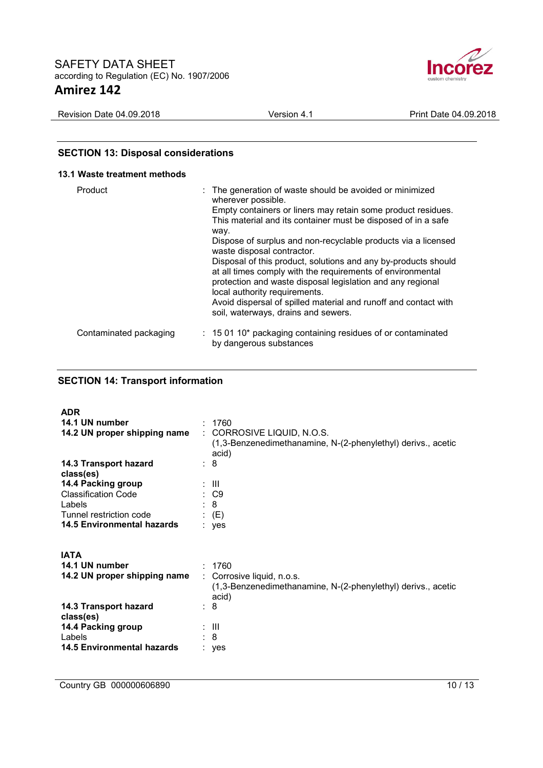

| 2018<br>$.09.2^{\circ}$<br><b>Revision</b><br>⊃ate 04. | Version<br>$\overline{ }$ | $^{\circ}.09$<br>2018<br>Print<br>≒04.<br>Jate. |
|--------------------------------------------------------|---------------------------|-------------------------------------------------|
|                                                        |                           |                                                 |

# **SECTION 13: Disposal considerations**

| 13.1 Waste treatment methods |                                                                                                                                                                                                                                                                                                                                                                                                                                                                                                                                                                                                                                                                 |
|------------------------------|-----------------------------------------------------------------------------------------------------------------------------------------------------------------------------------------------------------------------------------------------------------------------------------------------------------------------------------------------------------------------------------------------------------------------------------------------------------------------------------------------------------------------------------------------------------------------------------------------------------------------------------------------------------------|
| Product                      | : The generation of waste should be avoided or minimized<br>wherever possible.<br>Empty containers or liners may retain some product residues.<br>This material and its container must be disposed of in a safe<br>way.<br>Dispose of surplus and non-recyclable products via a licensed<br>waste disposal contractor.<br>Disposal of this product, solutions and any by-products should<br>at all times comply with the requirements of environmental<br>protection and waste disposal legislation and any regional<br>local authority requirements.<br>Avoid dispersal of spilled material and runoff and contact with<br>soil, waterways, drains and sewers. |
| Contaminated packaging       | $\therefore$ 15 01 10* packaging containing residues of or contaminated<br>by dangerous substances                                                                                                                                                                                                                                                                                                                                                                                                                                                                                                                                                              |

# **SECTION 14: Transport information**

| <b>ADR</b>                         |                                                                                                     |
|------------------------------------|-----------------------------------------------------------------------------------------------------|
| 14.1 UN number                     | : 1760                                                                                              |
| 14.2 UN proper shipping name       | : CORROSIVE LIQUID, N.O.S.<br>(1,3-Benzenedimethanamine, N-(2-phenylethyl) derivs., acetic<br>acid) |
| 14.3 Transport hazard<br>class(es) | : 8                                                                                                 |
| 14.4 Packing group                 | ÷ III.                                                                                              |
| <b>Classification Code</b>         | : C9                                                                                                |
| Labels                             | : 8                                                                                                 |
| Tunnel restriction code            | $\colon$ (E)                                                                                        |
| 14.5 Environmental hazards         | : yes                                                                                               |
|                                    |                                                                                                     |
| <b>IATA</b>                        |                                                                                                     |
| 14.1 UN number                     | : 1760                                                                                              |
| 14.2 UN proper shipping name       | : Corrosive liquid, n.o.s.<br>(1,3-Benzenedimethanamine, N-(2-phenylethyl) derivs., acetic<br>acid) |
| 14.3 Transport hazard<br>class(es) | : 8                                                                                                 |
| 14.4 Packing group                 | ÷ III.                                                                                              |
| Labels                             | : 8                                                                                                 |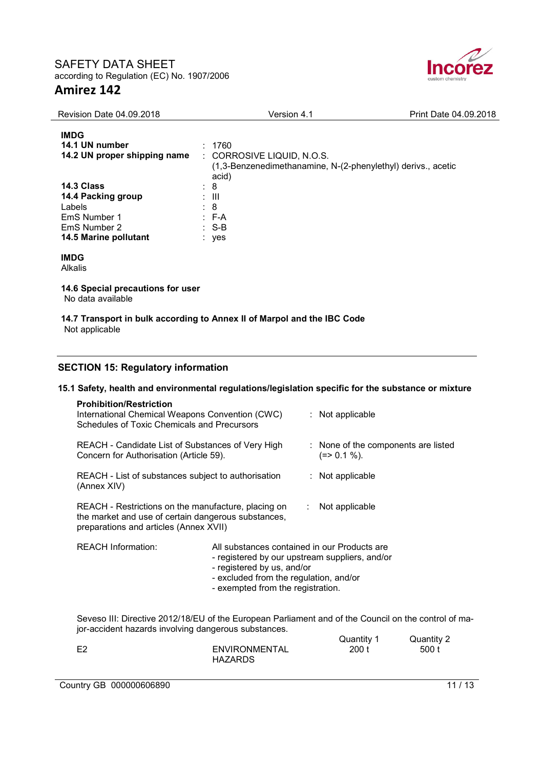

| <b>Revision Date 04.09.2018</b>                                                                     | Version 4.1                                                                                                   | Print Date 04.09.2018 |
|-----------------------------------------------------------------------------------------------------|---------------------------------------------------------------------------------------------------------------|-----------------------|
| <b>IMDG</b><br>14.1 UN number<br>14.2 UN proper shipping name                                       | : 1760<br>: CORROSIVE LIQUID, N.O.S.<br>(1,3-Benzenedimethanamine, N-(2-phenylethyl) derivs., acetic<br>acid) |                       |
| 14.3 Class<br>14.4 Packing group<br>Labels<br>EmS Number 1<br>EmS Number 2<br>14.5 Marine pollutant | : 8<br>: III<br>: 8<br>$:$ F-A<br>$:$ S-B<br>: yes                                                            |                       |
| <b>IMDG</b><br><b>Alkalis</b>                                                                       |                                                                                                               |                       |
| 14.6 Special precautions for user<br>No data available                                              |                                                                                                               |                       |
|                                                                                                     | 14.7 Transport in bulk according to Annex II of Marpol and the IBC Code                                       |                       |

Not applicable

# **SECTION 15: Regulatory information**

# **15.1 Safety, health and environmental regulations/legislation specific for the substance or mixture**

| <b>Prohibition/Restriction</b><br>International Chemical Weapons Convention (CWC)<br>Schedules of Toxic Chemicals and Precursors                                                                    |                                                                                                                                                                                                             |  | $:$ Not applicable                                  |            |
|-----------------------------------------------------------------------------------------------------------------------------------------------------------------------------------------------------|-------------------------------------------------------------------------------------------------------------------------------------------------------------------------------------------------------------|--|-----------------------------------------------------|------------|
| REACH - Candidate List of Substances of Very High<br>Concern for Authorisation (Article 59).                                                                                                        |                                                                                                                                                                                                             |  | : None of the components are listed<br>$(=>0.1\%).$ |            |
| REACH - List of substances subject to authorisation<br>(Annex XIV)                                                                                                                                  |                                                                                                                                                                                                             |  | $:$ Not applicable                                  |            |
| REACH - Restrictions on the manufacture, placing on<br>Not applicable<br>$\mathbb{R}^{\mathbb{Z}}$<br>the market and use of certain dangerous substances,<br>preparations and articles (Annex XVII) |                                                                                                                                                                                                             |  |                                                     |            |
| <b>REACH Information:</b>                                                                                                                                                                           | All substances contained in our Products are<br>- registered by our upstream suppliers, and/or<br>- registered by us, and/or<br>- excluded from the regulation, and/or<br>- exempted from the registration. |  |                                                     |            |
| Seveso III: Directive 2012/18/EU of the European Parliament and of the Council on the control of ma-<br>jor-accident hazards involving dangerous substances.                                        |                                                                                                                                                                                                             |  | Quantity 1                                          | Quantity 2 |

|          |                | <b>GULLER</b> | $\alpha$ uanniy $\epsilon$ |
|----------|----------------|---------------|----------------------------|
| ro.<br>╘ | ENVIRONMENTAL  | 200t          | 500 t                      |
|          | <b>HAZARDS</b> |               |                            |

Country GB 000000606890 11 / 13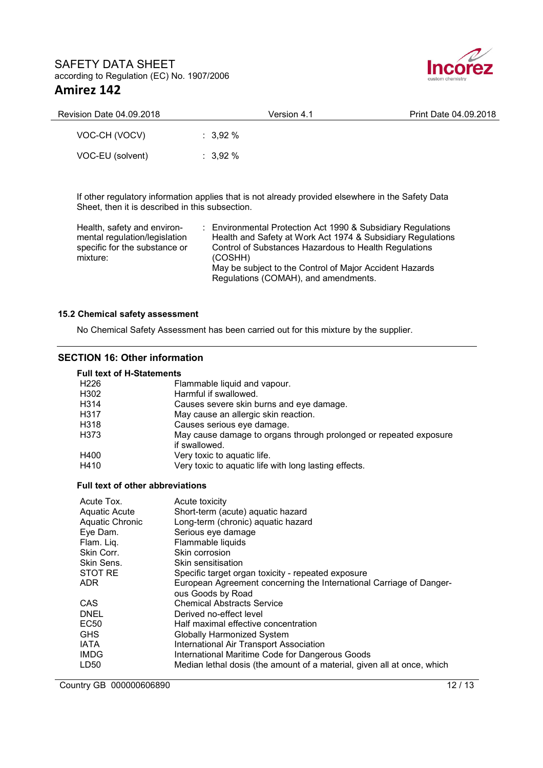

| <b>Revision Date 04.09.2018</b> | Version 4.1         | Print Date 04.09.2018 |
|---------------------------------|---------------------|-----------------------|
| VOC-CH (VOCV)                   | $: 3.92 \%$         |                       |
| VOC-EU (solvent)                | $\therefore$ 3.92 % |                       |

If other regulatory information applies that is not already provided elsewhere in the Safety Data Sheet, then it is described in this subsection.

Health, safety and environmental regulation/legislation specific for the substance or mixture:

: Environmental Protection Act 1990 & Subsidiary Regulations Health and Safety at Work Act 1974 & Subsidiary Regulations Control of Substances Hazardous to Health Regulations (COSHH) May be subject to the Control of Major Accident Hazards Regulations (COMAH), and amendments.

## **15.2 Chemical safety assessment**

No Chemical Safety Assessment has been carried out for this mixture by the supplier.

# **SECTION 16: Other information**

## **Full text of H-Statements**

| H <sub>226</sub> | Flammable liquid and vapour.                                      |
|------------------|-------------------------------------------------------------------|
| H302             | Harmful if swallowed.                                             |
| H314             | Causes severe skin burns and eye damage.                          |
| H317             | May cause an allergic skin reaction.                              |
| H318             | Causes serious eye damage.                                        |
| H373             | May cause damage to organs through prolonged or repeated exposure |
|                  | if swallowed.                                                     |
| H400             | Very toxic to aquatic life.                                       |
| H410             | Very toxic to aquatic life with long lasting effects.             |
|                  |                                                                   |

#### **Full text of other abbreviations**

| Acute Tox.             | Acute toxicity                                                          |
|------------------------|-------------------------------------------------------------------------|
| Aquatic Acute          | Short-term (acute) aquatic hazard                                       |
| <b>Aquatic Chronic</b> | Long-term (chronic) aquatic hazard                                      |
| Eye Dam.               | Serious eye damage                                                      |
| Flam. Liq.             | Flammable liquids                                                       |
| Skin Corr.             | Skin corrosion                                                          |
| Skin Sens.             | Skin sensitisation                                                      |
| STOT RE                | Specific target organ toxicity - repeated exposure                      |
| ADR                    | European Agreement concerning the International Carriage of Danger-     |
|                        | ous Goods by Road                                                       |
| CAS                    | <b>Chemical Abstracts Service</b>                                       |
| DNEL                   | Derived no-effect level                                                 |
| EC50                   | Half maximal effective concentration                                    |
| GHS                    | Globally Harmonized System                                              |
| <b>IATA</b>            | International Air Transport Association                                 |
| IMDG                   | International Maritime Code for Dangerous Goods                         |
| LD50                   | Median lethal dosis (the amount of a material, given all at once, which |

Country GB 000000606890 12 / 13